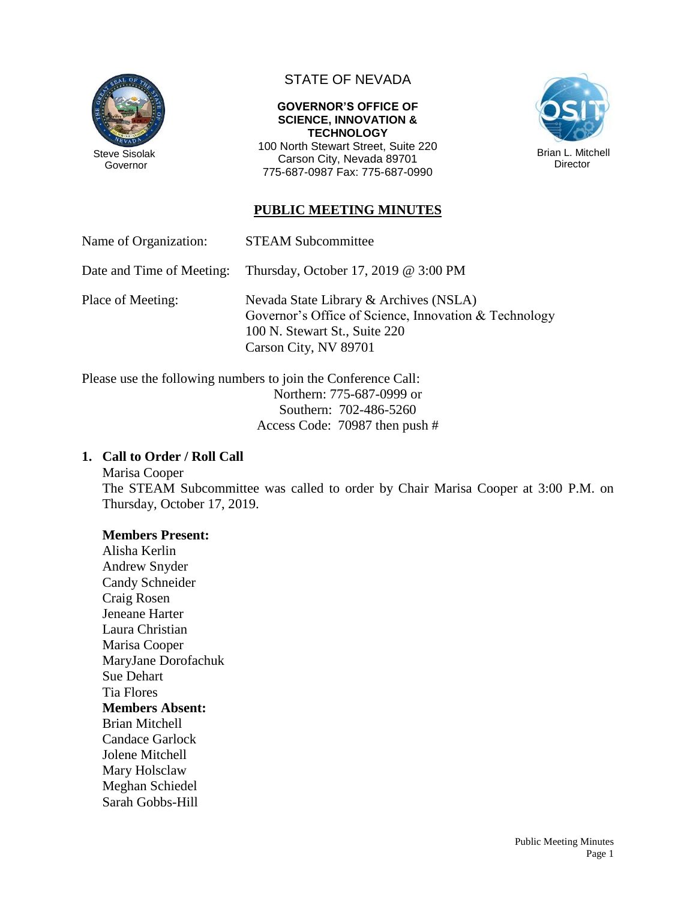

## STATE OF NEVADA

#### **GOVERNOR'S OFFICE OF SCIENCE, INNOVATION & TECHNOLOGY**

100 North Stewart Street, Suite 220 Carson City, Nevada 89701 775-687-0987 Fax: 775-687-0990



## **PUBLIC MEETING MINUTES**

Name of Organization: STEAM Subcommittee

Date and Time of Meeting: Thursday, October 17, 2019 @ 3:00 PM

Place of Meeting: Nevada State Library & Archives (NSLA) Governor's Office of Science, Innovation & Technology 100 N. Stewart St., Suite 220 Carson City, NV 89701

Please use the following numbers to join the Conference Call: Northern: 775-687-0999 or Southern: 702-486-5260 Access Code: 70987 then push #

## **1. Call to Order / Roll Call**

Marisa Cooper The STEAM Subcommittee was called to order by Chair Marisa Cooper at 3:00 P.M. on Thursday, October 17, 2019.

### **Members Present:**

Alisha Kerlin Andrew Snyder Candy Schneider Craig Rosen Jeneane Harter Laura Christian Marisa Cooper MaryJane Dorofachuk Sue Dehart Tia Flores **Members Absent:** Brian Mitchell Candace Garlock Jolene Mitchell Mary Holsclaw Meghan Schiedel Sarah Gobbs-Hill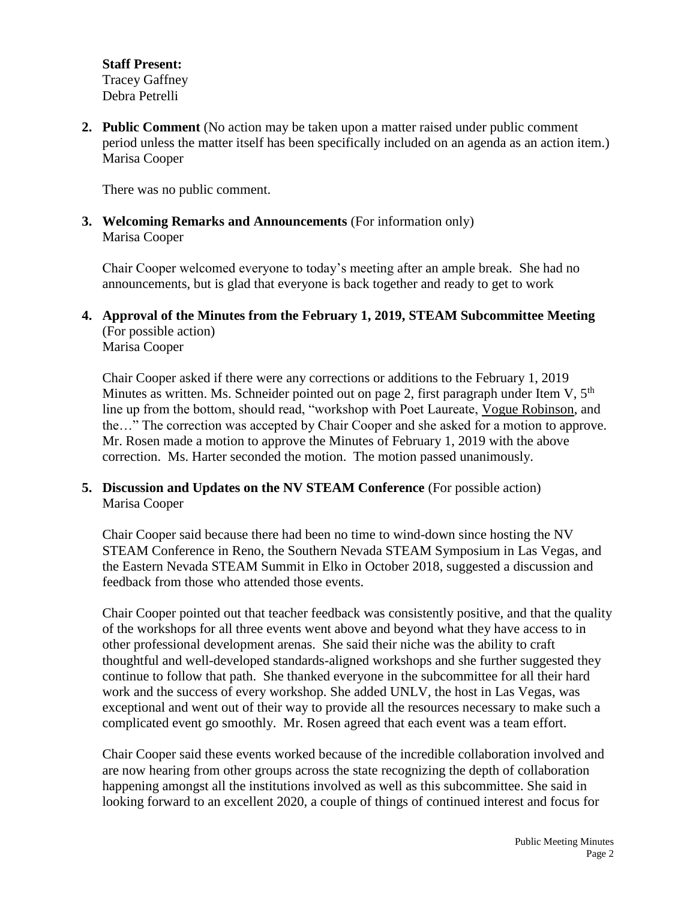**Staff Present:** Tracey Gaffney Debra Petrelli

**2. Public Comment** (No action may be taken upon a matter raised under public comment period unless the matter itself has been specifically included on an agenda as an action item.) Marisa Cooper

There was no public comment.

**3. Welcoming Remarks and Announcements** (For information only) Marisa Cooper

Chair Cooper welcomed everyone to today's meeting after an ample break. She had no announcements, but is glad that everyone is back together and ready to get to work

**4. Approval of the Minutes from the February 1, 2019, STEAM Subcommittee Meeting** (For possible action) Marisa Cooper

Chair Cooper asked if there were any corrections or additions to the February 1, 2019 Minutes as written. Ms. Schneider pointed out on page 2, first paragraph under Item V,  $5<sup>th</sup>$ line up from the bottom, should read, "workshop with Poet Laureate, Vogue Robinson, and the…" The correction was accepted by Chair Cooper and she asked for a motion to approve. Mr. Rosen made a motion to approve the Minutes of February 1, 2019 with the above correction. Ms. Harter seconded the motion. The motion passed unanimously.

**5. Discussion and Updates on the NV STEAM Conference** (For possible action) Marisa Cooper

Chair Cooper said because there had been no time to wind-down since hosting the NV STEAM Conference in Reno, the Southern Nevada STEAM Symposium in Las Vegas, and the Eastern Nevada STEAM Summit in Elko in October 2018, suggested a discussion and feedback from those who attended those events.

Chair Cooper pointed out that teacher feedback was consistently positive, and that the quality of the workshops for all three events went above and beyond what they have access to in other professional development arenas. She said their niche was the ability to craft thoughtful and well-developed standards-aligned workshops and she further suggested they continue to follow that path. She thanked everyone in the subcommittee for all their hard work and the success of every workshop. She added UNLV, the host in Las Vegas, was exceptional and went out of their way to provide all the resources necessary to make such a complicated event go smoothly. Mr. Rosen agreed that each event was a team effort.

Chair Cooper said these events worked because of the incredible collaboration involved and are now hearing from other groups across the state recognizing the depth of collaboration happening amongst all the institutions involved as well as this subcommittee. She said in looking forward to an excellent 2020, a couple of things of continued interest and focus for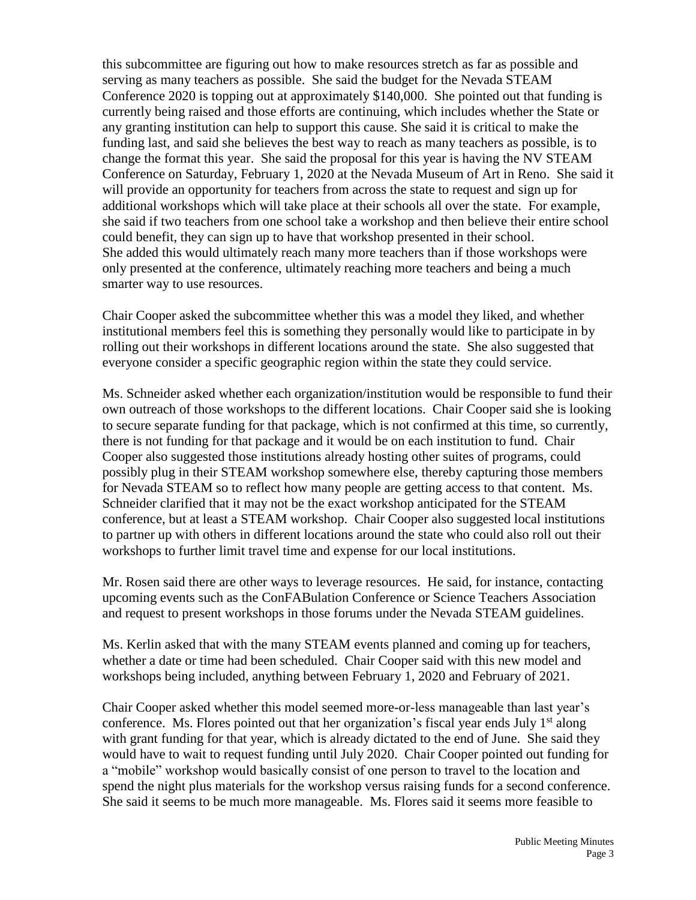this subcommittee are figuring out how to make resources stretch as far as possible and serving as many teachers as possible. She said the budget for the Nevada STEAM Conference 2020 is topping out at approximately \$140,000. She pointed out that funding is currently being raised and those efforts are continuing, which includes whether the State or any granting institution can help to support this cause. She said it is critical to make the funding last, and said she believes the best way to reach as many teachers as possible, is to change the format this year. She said the proposal for this year is having the NV STEAM Conference on Saturday, February 1, 2020 at the Nevada Museum of Art in Reno. She said it will provide an opportunity for teachers from across the state to request and sign up for additional workshops which will take place at their schools all over the state. For example, she said if two teachers from one school take a workshop and then believe their entire school could benefit, they can sign up to have that workshop presented in their school. She added this would ultimately reach many more teachers than if those workshops were only presented at the conference, ultimately reaching more teachers and being a much smarter way to use resources.

Chair Cooper asked the subcommittee whether this was a model they liked, and whether institutional members feel this is something they personally would like to participate in by rolling out their workshops in different locations around the state. She also suggested that everyone consider a specific geographic region within the state they could service.

Ms. Schneider asked whether each organization/institution would be responsible to fund their own outreach of those workshops to the different locations. Chair Cooper said she is looking to secure separate funding for that package, which is not confirmed at this time, so currently, there is not funding for that package and it would be on each institution to fund. Chair Cooper also suggested those institutions already hosting other suites of programs, could possibly plug in their STEAM workshop somewhere else, thereby capturing those members for Nevada STEAM so to reflect how many people are getting access to that content. Ms. Schneider clarified that it may not be the exact workshop anticipated for the STEAM conference, but at least a STEAM workshop. Chair Cooper also suggested local institutions to partner up with others in different locations around the state who could also roll out their workshops to further limit travel time and expense for our local institutions.

Mr. Rosen said there are other ways to leverage resources. He said, for instance, contacting upcoming events such as the ConFABulation Conference or Science Teachers Association and request to present workshops in those forums under the Nevada STEAM guidelines.

Ms. Kerlin asked that with the many STEAM events planned and coming up for teachers, whether a date or time had been scheduled. Chair Cooper said with this new model and workshops being included, anything between February 1, 2020 and February of 2021.

Chair Cooper asked whether this model seemed more-or-less manageable than last year's conference. Ms. Flores pointed out that her organization's fiscal year ends July  $1<sup>st</sup>$  along with grant funding for that year, which is already dictated to the end of June. She said they would have to wait to request funding until July 2020. Chair Cooper pointed out funding for a "mobile" workshop would basically consist of one person to travel to the location and spend the night plus materials for the workshop versus raising funds for a second conference. She said it seems to be much more manageable. Ms. Flores said it seems more feasible to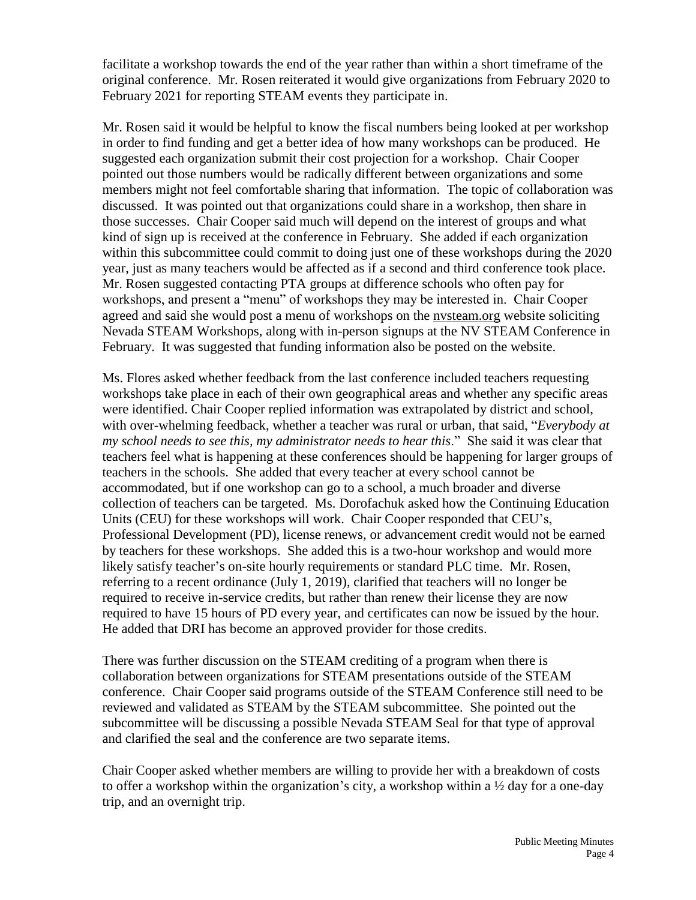facilitate a workshop towards the end of the year rather than within a short timeframe of the original conference. Mr. Rosen reiterated it would give organizations from February 2020 to February 2021 for reporting STEAM events they participate in.

Mr. Rosen said it would be helpful to know the fiscal numbers being looked at per workshop in order to find funding and get a better idea of how many workshops can be produced. He suggested each organization submit their cost projection for a workshop. Chair Cooper pointed out those numbers would be radically different between organizations and some members might not feel comfortable sharing that information. The topic of collaboration was discussed. It was pointed out that organizations could share in a workshop, then share in those successes. Chair Cooper said much will depend on the interest of groups and what kind of sign up is received at the conference in February. She added if each organization within this subcommittee could commit to doing just one of these workshops during the 2020 year, just as many teachers would be affected as if a second and third conference took place. Mr. Rosen suggested contacting PTA groups at difference schools who often pay for workshops, and present a "menu" of workshops they may be interested in. Chair Cooper agreed and said she would post a menu of workshops on the nvsteam.org website soliciting Nevada STEAM Workshops, along with in-person signups at the NV STEAM Conference in February. It was suggested that funding information also be posted on the website.

Ms. Flores asked whether feedback from the last conference included teachers requesting workshops take place in each of their own geographical areas and whether any specific areas were identified. Chair Cooper replied information was extrapolated by district and school, with over-whelming feedback, whether a teacher was rural or urban, that said, "*Everybody at my school needs to see this, my administrator needs to hear this*." She said it was clear that teachers feel what is happening at these conferences should be happening for larger groups of teachers in the schools. She added that every teacher at every school cannot be accommodated, but if one workshop can go to a school, a much broader and diverse collection of teachers can be targeted. Ms. Dorofachuk asked how the Continuing Education Units (CEU) for these workshops will work. Chair Cooper responded that CEU's, Professional Development (PD), license renews, or advancement credit would not be earned by teachers for these workshops. She added this is a two-hour workshop and would more likely satisfy teacher's on-site hourly requirements or standard PLC time. Mr. Rosen, referring to a recent ordinance (July 1, 2019), clarified that teachers will no longer be required to receive in-service credits, but rather than renew their license they are now required to have 15 hours of PD every year, and certificates can now be issued by the hour. He added that DRI has become an approved provider for those credits.

There was further discussion on the STEAM crediting of a program when there is collaboration between organizations for STEAM presentations outside of the STEAM conference. Chair Cooper said programs outside of the STEAM Conference still need to be reviewed and validated as STEAM by the STEAM subcommittee. She pointed out the subcommittee will be discussing a possible Nevada STEAM Seal for that type of approval and clarified the seal and the conference are two separate items.

Chair Cooper asked whether members are willing to provide her with a breakdown of costs to offer a workshop within the organization's city, a workshop within a ½ day for a one-day trip, and an overnight trip.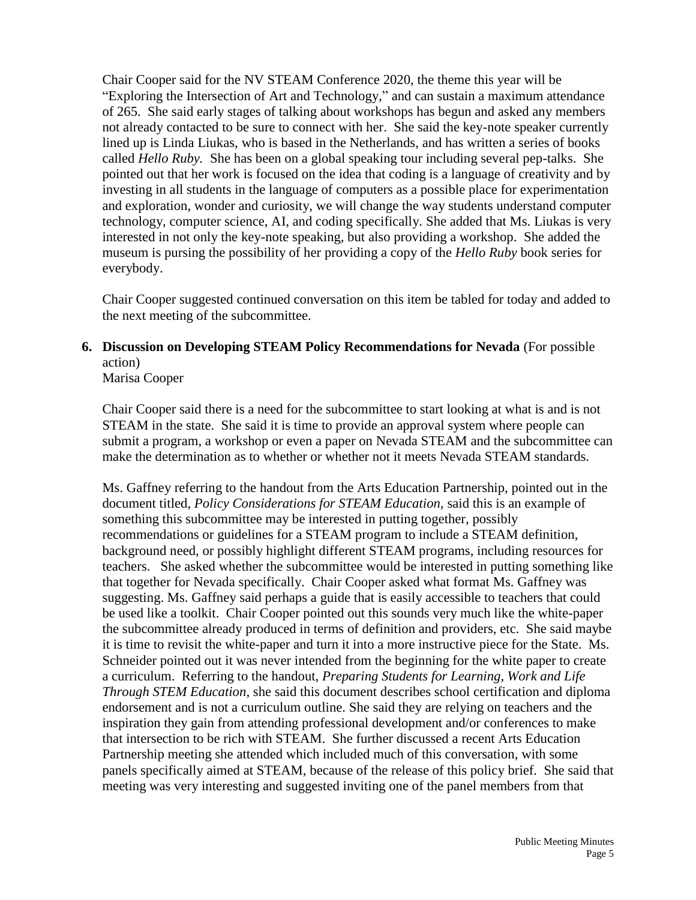Chair Cooper said for the NV STEAM Conference 2020, the theme this year will be "Exploring the Intersection of Art and Technology," and can sustain a maximum attendance of 265. She said early stages of talking about workshops has begun and asked any members not already contacted to be sure to connect with her. She said the key-note speaker currently lined up is Linda Liukas, who is based in the Netherlands, and has written a series of books called *Hello Ruby.* She has been on a global speaking tour including several pep-talks. She pointed out that her work is focused on the idea that coding is a language of creativity and by investing in all students in the language of computers as a possible place for experimentation and exploration, wonder and curiosity, we will change the way students understand computer technology, computer science, AI, and coding specifically. She added that Ms. Liukas is very interested in not only the key-note speaking, but also providing a workshop. She added the museum is pursing the possibility of her providing a copy of the *Hello Ruby* book series for everybody.

Chair Cooper suggested continued conversation on this item be tabled for today and added to the next meeting of the subcommittee.

# **6. Discussion on Developing STEAM Policy Recommendations for Nevada** (For possible action)

Marisa Cooper

Chair Cooper said there is a need for the subcommittee to start looking at what is and is not STEAM in the state. She said it is time to provide an approval system where people can submit a program, a workshop or even a paper on Nevada STEAM and the subcommittee can make the determination as to whether or whether not it meets Nevada STEAM standards.

Ms. Gaffney referring to the handout from the Arts Education Partnership, pointed out in the document titled, *Policy Considerations for STEAM Education,* said this is an example of something this subcommittee may be interested in putting together, possibly recommendations or guidelines for a STEAM program to include a STEAM definition, background need, or possibly highlight different STEAM programs, including resources for teachers. She asked whether the subcommittee would be interested in putting something like that together for Nevada specifically. Chair Cooper asked what format Ms. Gaffney was suggesting. Ms. Gaffney said perhaps a guide that is easily accessible to teachers that could be used like a toolkit. Chair Cooper pointed out this sounds very much like the white-paper the subcommittee already produced in terms of definition and providers, etc. She said maybe it is time to revisit the white-paper and turn it into a more instructive piece for the State. Ms. Schneider pointed out it was never intended from the beginning for the white paper to create a curriculum. Referring to the handout, *Preparing Students for Learning, Work and Life Through STEM Education*, she said this document describes school certification and diploma endorsement and is not a curriculum outline. She said they are relying on teachers and the inspiration they gain from attending professional development and/or conferences to make that intersection to be rich with STEAM. She further discussed a recent Arts Education Partnership meeting she attended which included much of this conversation, with some panels specifically aimed at STEAM, because of the release of this policy brief. She said that meeting was very interesting and suggested inviting one of the panel members from that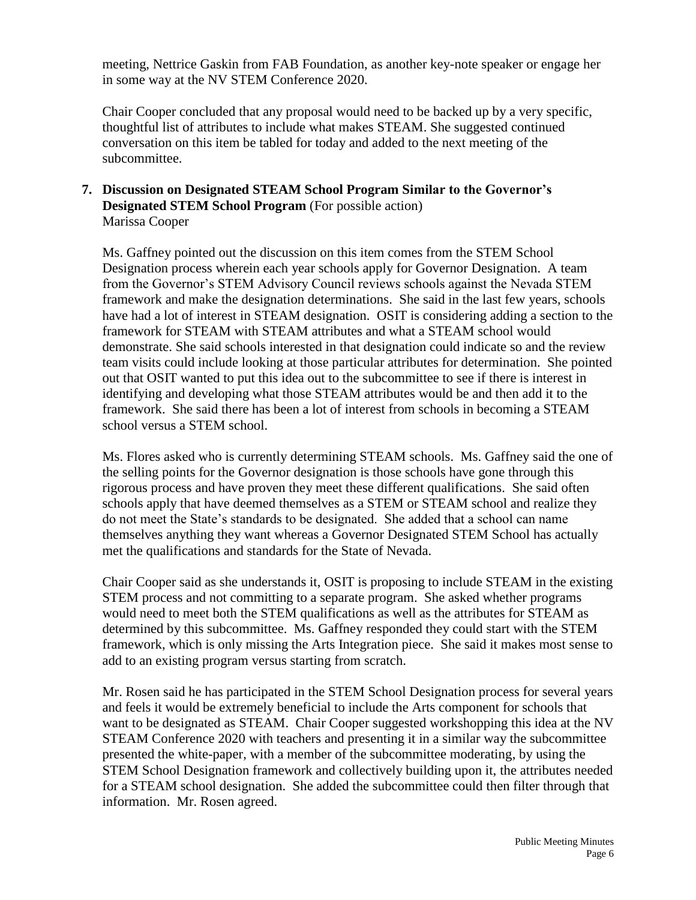meeting, Nettrice Gaskin from FAB Foundation, as another key-note speaker or engage her in some way at the NV STEM Conference 2020.

Chair Cooper concluded that any proposal would need to be backed up by a very specific, thoughtful list of attributes to include what makes STEAM. She suggested continued conversation on this item be tabled for today and added to the next meeting of the subcommittee.

#### **7. Discussion on Designated STEAM School Program Similar to the Governor's Designated STEM School Program** (For possible action) Marissa Cooper

Ms. Gaffney pointed out the discussion on this item comes from the STEM School Designation process wherein each year schools apply for Governor Designation. A team from the Governor's STEM Advisory Council reviews schools against the Nevada STEM framework and make the designation determinations. She said in the last few years, schools have had a lot of interest in STEAM designation. OSIT is considering adding a section to the framework for STEAM with STEAM attributes and what a STEAM school would demonstrate. She said schools interested in that designation could indicate so and the review team visits could include looking at those particular attributes for determination. She pointed out that OSIT wanted to put this idea out to the subcommittee to see if there is interest in identifying and developing what those STEAM attributes would be and then add it to the framework. She said there has been a lot of interest from schools in becoming a STEAM school versus a STEM school.

Ms. Flores asked who is currently determining STEAM schools. Ms. Gaffney said the one of the selling points for the Governor designation is those schools have gone through this rigorous process and have proven they meet these different qualifications. She said often schools apply that have deemed themselves as a STEM or STEAM school and realize they do not meet the State's standards to be designated. She added that a school can name themselves anything they want whereas a Governor Designated STEM School has actually met the qualifications and standards for the State of Nevada.

Chair Cooper said as she understands it, OSIT is proposing to include STEAM in the existing STEM process and not committing to a separate program. She asked whether programs would need to meet both the STEM qualifications as well as the attributes for STEAM as determined by this subcommittee. Ms. Gaffney responded they could start with the STEM framework, which is only missing the Arts Integration piece. She said it makes most sense to add to an existing program versus starting from scratch.

Mr. Rosen said he has participated in the STEM School Designation process for several years and feels it would be extremely beneficial to include the Arts component for schools that want to be designated as STEAM. Chair Cooper suggested workshopping this idea at the NV STEAM Conference 2020 with teachers and presenting it in a similar way the subcommittee presented the white-paper, with a member of the subcommittee moderating, by using the STEM School Designation framework and collectively building upon it, the attributes needed for a STEAM school designation. She added the subcommittee could then filter through that information. Mr. Rosen agreed.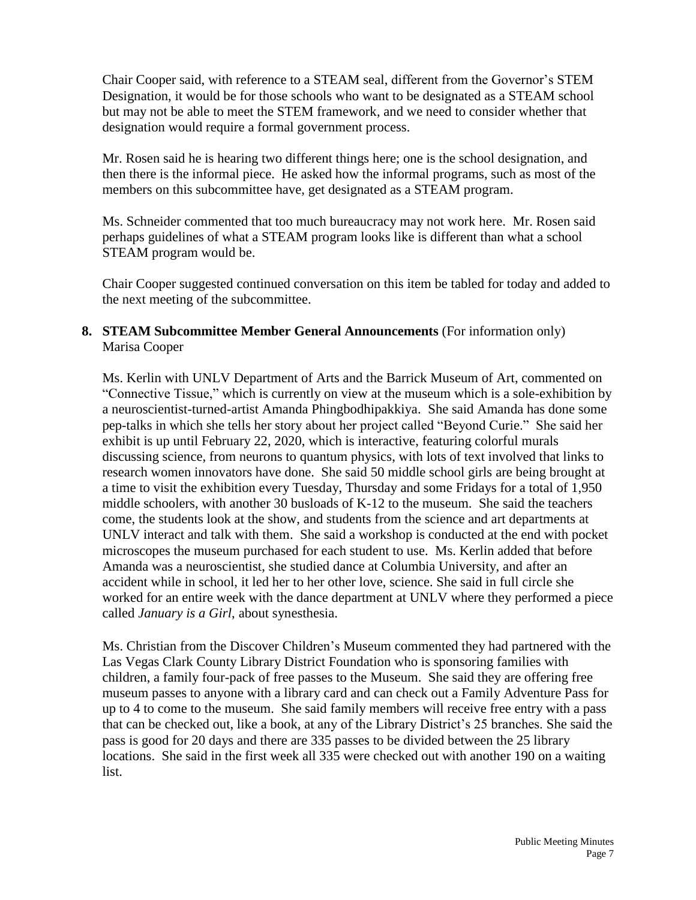Chair Cooper said, with reference to a STEAM seal, different from the Governor's STEM Designation, it would be for those schools who want to be designated as a STEAM school but may not be able to meet the STEM framework, and we need to consider whether that designation would require a formal government process.

Mr. Rosen said he is hearing two different things here; one is the school designation, and then there is the informal piece. He asked how the informal programs, such as most of the members on this subcommittee have, get designated as a STEAM program.

Ms. Schneider commented that too much bureaucracy may not work here. Mr. Rosen said perhaps guidelines of what a STEAM program looks like is different than what a school STEAM program would be.

Chair Cooper suggested continued conversation on this item be tabled for today and added to the next meeting of the subcommittee.

## **8. STEAM Subcommittee Member General Announcements** (For information only) Marisa Cooper

Ms. Kerlin with UNLV Department of Arts and the Barrick Museum of Art, commented on "Connective Tissue," which is currently on view at the museum which is a sole-exhibition by a neuroscientist-turned-artist Amanda Phingbodhipakkiya. She said Amanda has done some pep-talks in which she tells her story about her project called "Beyond Curie." She said her exhibit is up until February 22, 2020, which is interactive, featuring colorful murals discussing science, from neurons to quantum physics, with lots of text involved that links to research women innovators have done. She said 50 middle school girls are being brought at a time to visit the exhibition every Tuesday, Thursday and some Fridays for a total of 1,950 middle schoolers, with another 30 busloads of K-12 to the museum. She said the teachers come, the students look at the show, and students from the science and art departments at UNLV interact and talk with them. She said a workshop is conducted at the end with pocket microscopes the museum purchased for each student to use. Ms. Kerlin added that before Amanda was a neuroscientist, she studied dance at Columbia University, and after an accident while in school, it led her to her other love, science. She said in full circle she worked for an entire week with the dance department at UNLV where they performed a piece called *January is a Girl*, about synesthesia.

Ms. Christian from the Discover Children's Museum commented they had partnered with the Las Vegas Clark County Library District Foundation who is sponsoring families with children, a family four-pack of free passes to the Museum. She said they are offering free museum passes to anyone with a library card and can check out a Family Adventure Pass for up to 4 to come to the museum. She said family members will receive free entry with a pass that can be checked out, like a book, at any of the Library District's 25 branches. She said the pass is good for 20 days and there are 335 passes to be divided between the 25 library locations. She said in the first week all 335 were checked out with another 190 on a waiting list.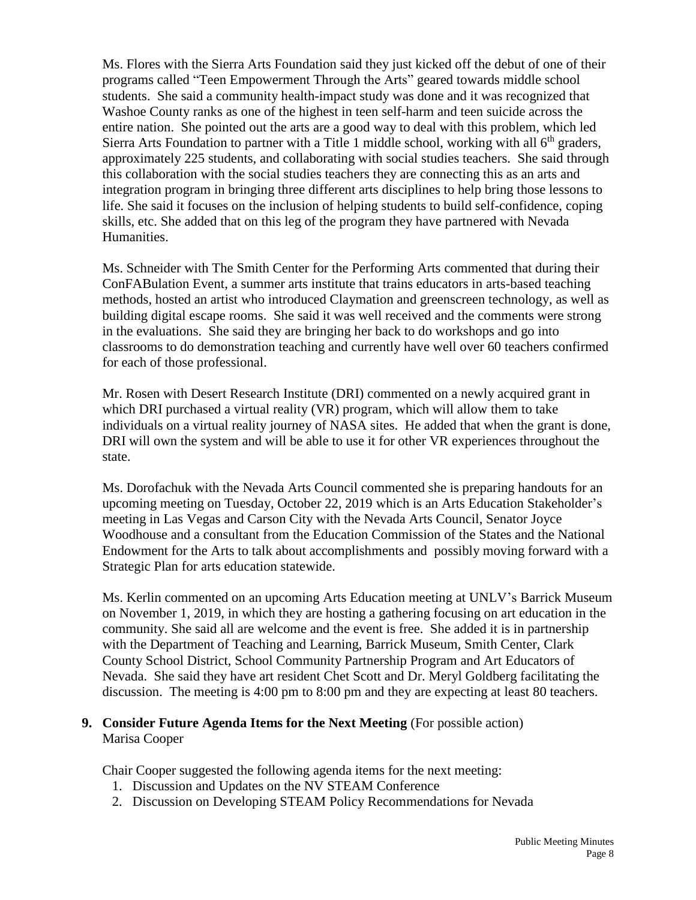Ms. Flores with the Sierra Arts Foundation said they just kicked off the debut of one of their programs called "Teen Empowerment Through the Arts" geared towards middle school students. She said a community health-impact study was done and it was recognized that Washoe County ranks as one of the highest in teen self-harm and teen suicide across the entire nation. She pointed out the arts are a good way to deal with this problem, which led Sierra Arts Foundation to partner with a Title 1 middle school, working with all  $6<sup>th</sup>$  graders, approximately 225 students, and collaborating with social studies teachers. She said through this collaboration with the social studies teachers they are connecting this as an arts and integration program in bringing three different arts disciplines to help bring those lessons to life. She said it focuses on the inclusion of helping students to build self-confidence, coping skills, etc. She added that on this leg of the program they have partnered with Nevada Humanities.

Ms. Schneider with The Smith Center for the Performing Arts commented that during their ConFABulation Event, a summer arts institute that trains educators in arts-based teaching methods, hosted an artist who introduced Claymation and greenscreen technology, as well as building digital escape rooms. She said it was well received and the comments were strong in the evaluations. She said they are bringing her back to do workshops and go into classrooms to do demonstration teaching and currently have well over 60 teachers confirmed for each of those professional.

Mr. Rosen with Desert Research Institute (DRI) commented on a newly acquired grant in which DRI purchased a virtual reality (VR) program, which will allow them to take individuals on a virtual reality journey of NASA sites. He added that when the grant is done, DRI will own the system and will be able to use it for other VR experiences throughout the state.

Ms. Dorofachuk with the Nevada Arts Council commented she is preparing handouts for an upcoming meeting on Tuesday, October 22, 2019 which is an Arts Education Stakeholder's meeting in Las Vegas and Carson City with the Nevada Arts Council, Senator Joyce Woodhouse and a consultant from the Education Commission of the States and the National Endowment for the Arts to talk about accomplishments and possibly moving forward with a Strategic Plan for arts education statewide.

Ms. Kerlin commented on an upcoming Arts Education meeting at UNLV's Barrick Museum on November 1, 2019, in which they are hosting a gathering focusing on art education in the community. She said all are welcome and the event is free. She added it is in partnership with the Department of Teaching and Learning, Barrick Museum, Smith Center, Clark County School District, School Community Partnership Program and Art Educators of Nevada. She said they have art resident Chet Scott and Dr. Meryl Goldberg facilitating the discussion. The meeting is 4:00 pm to 8:00 pm and they are expecting at least 80 teachers.

### **9. Consider Future Agenda Items for the Next Meeting** (For possible action) Marisa Cooper

Chair Cooper suggested the following agenda items for the next meeting:

- 1. Discussion and Updates on the NV STEAM Conference
- 2. Discussion on Developing STEAM Policy Recommendations for Nevada